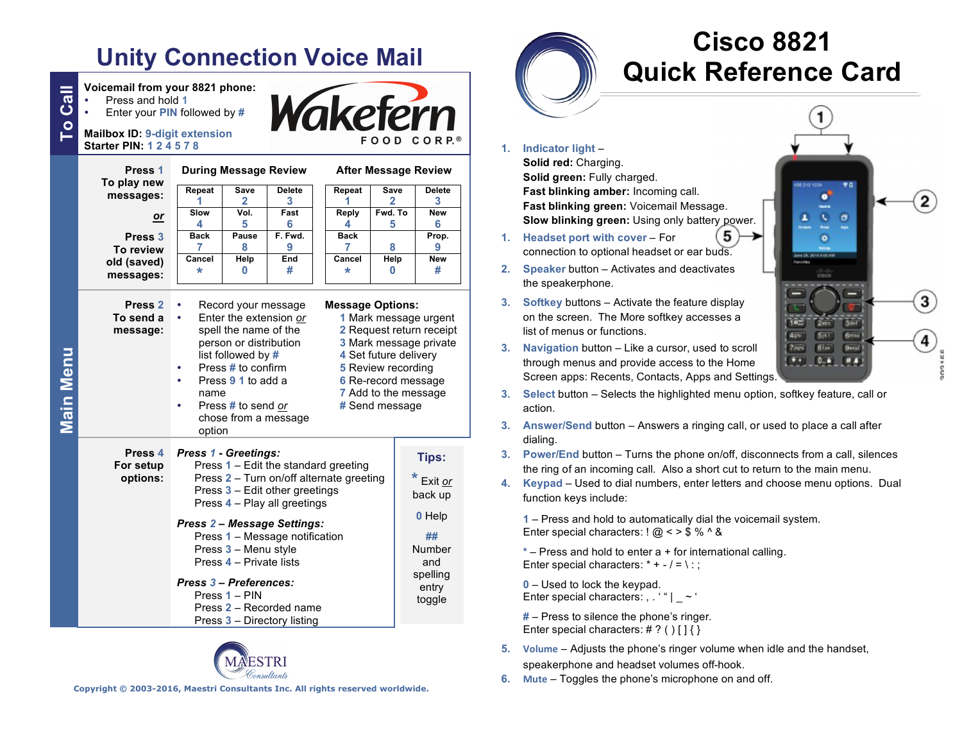# **Unity Connection Voice Mail**

**To Call Voicemail from your 8821 phone:**<br> **C** Press and hold 1<br> **C** Mailbox ID: 9-digit extension Press and hold **1** Enter your **PIN** followed by **# Starter PIN: 1 2 4 5 7 8 During Message Review Press 1 To play new Repeat Save Delete Repeat Save Delete messages: 1 2 3 1 2 3 Slow Vol. Fast Reply Fwd. To New** *or* **4 5 6 4 5 6 Press 3 Back Pause F. Fwd.** Back **Prop. 7 8 9 7 8 9 To review Cancel Help End Cancel Help New old (saved) \* <sup>0</sup> # messages: Press 2** Record your message **To send a**  Enter the extension *or* **message:** spell the name of the **2** Request return receipt **3** Mark message private person or distribution **Main Menu Main Menu** list followed by **# 4** Set future delivery Press **#** to confirm **5** Review recording Press **9 1** to add a **6** Re-record message name **7** Add to the message Press **#** to send *or* chose from a message option **Press 4** *Press 1 - Greetings:* Press **1** – Edit the standard greeting **For setup options:** Press **2** – Turn on/off alternate greeting Press **3** – Edit other greetings Press **4** – Play all greetings *Press 2 – Message Settings:* Press **1** – Message notification

# **After Message Review**

# **\* <sup>0</sup> # Message Options: 1** Mark message urgent

**#** Send message Press **3** – Menu style Press **4** – Private lists *Press 3 – Preferences:* Press **1** – PIN Press **2** – Recorded name Press **3** – Directory listing **Tips: \*** Exit *or* back up **0** Help **##** Number and spelling entry toggle



# **Cisco 8821 Quick Reference Card**

**1. Indicator light** – **Solid red:** Charging.

> **Solid green:** Fully charged. **Fast blinking amber:** Incoming call. **Fast blinking green:** Voicemail Message. **Slow blinking green:** Using only battery power.

- **1. Headset port with cover** For connection to optional headset or ear buds.
- **2. Speaker** button Activates and deactivates the speakerphone.
- **3. Softkey** buttons Activate the feature display on the screen. The More softkey accesses a list of menus or functions.
- **3. Navigation** button Like a cursor, used to scroll through menus and provide access to the Home Screen apps: Recents, Contacts, Apps and Settings.



**3. Select** button – Selects the highlighted menu option, softkey feature, call or action.

5

- **3. Answer/Send** button Answers a ringing call, or used to place a call after dialing.
- **3. Power/End** button Turns the phone on/off, disconnects from a call, silences the ring of an incoming call. Also a short cut to return to the main menu.
- **4. Keypad** Used to dial numbers, enter letters and choose menu options. Dual function keys include:

**1** – Press and hold to automatically dial the voicemail system. Enter special characters:  $\frac{1}{2}$   $\frac{1}{2}$   $\frac{3}{5}$  %  $\frac{1}{2}$  &

**\*** – Press and hold to enter a + for international calling. Enter special characters:  $* + -1 = \div$ :

**0** – Used to lock the keypad. Enter special characters:  $, ' " | ~ ~ ~ ~ ~ ~$ 

**#** – Press to silence the phone's ringer. Enter special characters:  $\#$  ? ()  $\{\}$ 

**5. Volume** – Adjusts the phone's ringer volume when idle and the handset, speakerphone and headset volumes off-hook.

**6. Mute** – Toggles the phone's microphone on and off.

**Copyright © 2003-2016, Maestri Consultants Inc. All rights reserved worldwide.**